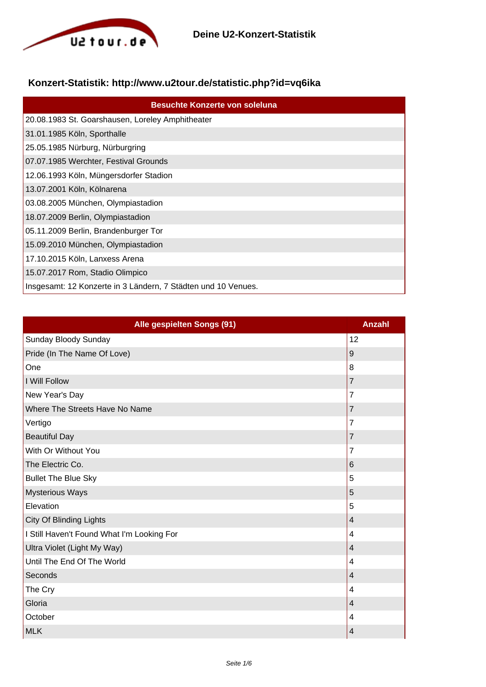

## **Konzert-Statistik: http://www.u2tour.de/statistic.php?id=vq6ika**

| <b>Besuchte Konzerte von soleluna</b>                         |
|---------------------------------------------------------------|
| 20.08.1983 St. Goarshausen, Loreley Amphitheater              |
| 31.01.1985 Köln, Sporthalle                                   |
| 25.05.1985 Nürburg, Nürburgring                               |
| 07.07.1985 Werchter, Festival Grounds                         |
| 12.06.1993 Köln, Müngersdorfer Stadion                        |
| 13.07.2001 Köln, Kölnarena                                    |
| 03.08.2005 München, Olympiastadion                            |
| 18.07.2009 Berlin, Olympiastadion                             |
| 05.11.2009 Berlin, Brandenburger Tor                          |
| 15.09.2010 München, Olympiastadion                            |
| 17.10.2015 Köln, Lanxess Arena                                |
| 15.07.2017 Rom, Stadio Olimpico                               |
| Insgesamt: 12 Konzerte in 3 Ländern, 7 Städten und 10 Venues. |

| Alle gespielten Songs (91)                 | <b>Anzahl</b>           |
|--------------------------------------------|-------------------------|
| Sunday Bloody Sunday                       | 12                      |
| Pride (In The Name Of Love)                | $\boldsymbol{9}$        |
| One                                        | 8                       |
| I Will Follow                              | 7                       |
| New Year's Day                             | $\overline{7}$          |
| Where The Streets Have No Name             | 7                       |
| Vertigo                                    | 7                       |
| <b>Beautiful Day</b>                       | $\overline{7}$          |
| With Or Without You                        | $\overline{7}$          |
| The Electric Co.                           | 6                       |
| <b>Bullet The Blue Sky</b>                 | 5                       |
| <b>Mysterious Ways</b>                     | 5                       |
| Elevation                                  | 5                       |
| <b>City Of Blinding Lights</b>             | $\overline{4}$          |
| I Still Haven't Found What I'm Looking For | 4                       |
| Ultra Violet (Light My Way)                | $\overline{\mathbf{4}}$ |
| Until The End Of The World                 | 4                       |
| Seconds                                    | $\overline{4}$          |
| The Cry                                    | 4                       |
| Gloria                                     | 4                       |
| October                                    | 4                       |
| <b>MLK</b>                                 | 4                       |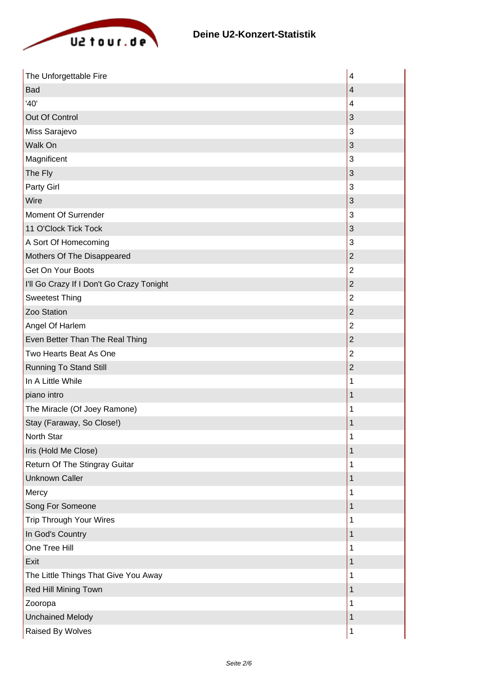

| The Unforgettable Fire                    | $\overline{\mathbf{4}}$   |
|-------------------------------------------|---------------------------|
| Bad                                       | 4                         |
| '40'                                      | 4                         |
| Out Of Control                            | $\sqrt{3}$                |
| Miss Sarajevo                             | $\mathbf{3}$              |
| Walk On                                   | 3                         |
| Magnificent                               | 3                         |
| The Fly                                   | $\sqrt{3}$                |
| Party Girl                                | 3                         |
| Wire                                      | $\ensuremath{\mathsf{3}}$ |
| Moment Of Surrender                       | $\mathbf{3}$              |
| 11 O'Clock Tick Tock                      | 3                         |
| A Sort Of Homecoming                      | 3                         |
| Mothers Of The Disappeared                | $\overline{c}$            |
| Get On Your Boots                         | $\overline{2}$            |
| I'll Go Crazy If I Don't Go Crazy Tonight | $\overline{2}$            |
| <b>Sweetest Thing</b>                     | $\overline{2}$            |
| Zoo Station                               | $\mathbf 2$               |
| Angel Of Harlem                           | $\overline{2}$            |
| Even Better Than The Real Thing           | $\overline{2}$            |
| Two Hearts Beat As One                    | $\overline{2}$            |
| <b>Running To Stand Still</b>             | $\boldsymbol{2}$          |
| In A Little While                         | 1                         |
| piano intro                               | 1                         |
| The Miracle (Of Joey Ramone)              | 1                         |
| Stay (Faraway, So Close!)                 | 1                         |
| North Star                                | 1                         |
| Iris (Hold Me Close)                      | 1                         |
| Return Of The Stingray Guitar             | 1                         |
| <b>Unknown Caller</b>                     | 1                         |
| Mercy                                     | 1                         |
| Song For Someone                          | 1                         |
| Trip Through Your Wires                   | 1                         |
| In God's Country                          | 1                         |
| One Tree Hill                             | 1                         |
| Exit                                      | 1                         |
| The Little Things That Give You Away      | 1                         |
| Red Hill Mining Town                      | 1                         |
| Zooropa                                   | 1                         |
| <b>Unchained Melody</b>                   | 1                         |
| Raised By Wolves                          | 1                         |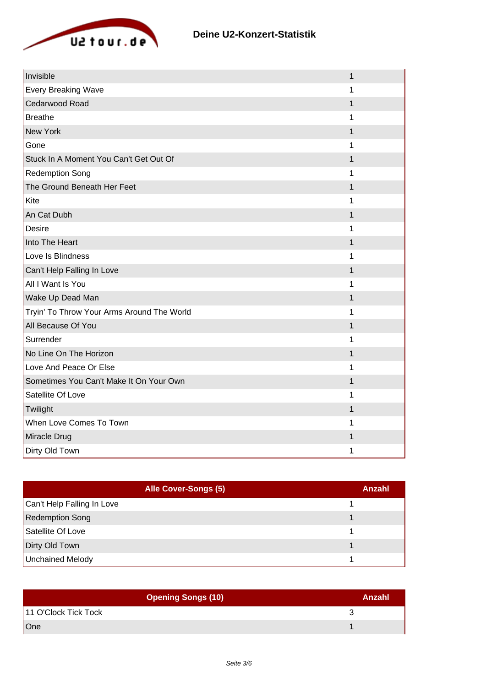

| Invisible                                  | 1           |
|--------------------------------------------|-------------|
| <b>Every Breaking Wave</b>                 | 1           |
| Cedarwood Road                             | $\mathbf 1$ |
| <b>Breathe</b>                             | 1           |
| <b>New York</b>                            | 1           |
| Gone                                       | 1           |
| Stuck In A Moment You Can't Get Out Of     | 1           |
| <b>Redemption Song</b>                     | 1           |
| The Ground Beneath Her Feet                | 1           |
| Kite                                       | 1           |
| An Cat Dubh                                | 1           |
| <b>Desire</b>                              | 1           |
| Into The Heart                             | 1           |
| Love Is Blindness                          | 1           |
| Can't Help Falling In Love                 | 1           |
| All I Want Is You                          | 1           |
| Wake Up Dead Man                           | 1           |
| Tryin' To Throw Your Arms Around The World | 1           |
| All Because Of You                         | 1           |
| Surrender                                  | 1           |
| No Line On The Horizon                     | 1           |
| Love And Peace Or Else                     | 1           |
| Sometimes You Can't Make It On Your Own    | 1           |
| Satellite Of Love                          | 1           |
| Twilight                                   | 1           |
| When Love Comes To Town                    | 1           |
| Miracle Drug                               | 1           |
| Dirty Old Town                             | 1           |

| <b>Alle Cover-Songs (5)</b> | Anzahl |
|-----------------------------|--------|
| Can't Help Falling In Love  |        |
| <b>Redemption Song</b>      |        |
| Satellite Of Love           |        |
| Dirty Old Town              |        |
| <b>Unchained Melody</b>     |        |

| <b>Opening Songs (10)</b> | Anzahl |
|---------------------------|--------|
| 11 O'Clock Tick Tock      |        |
| One                       |        |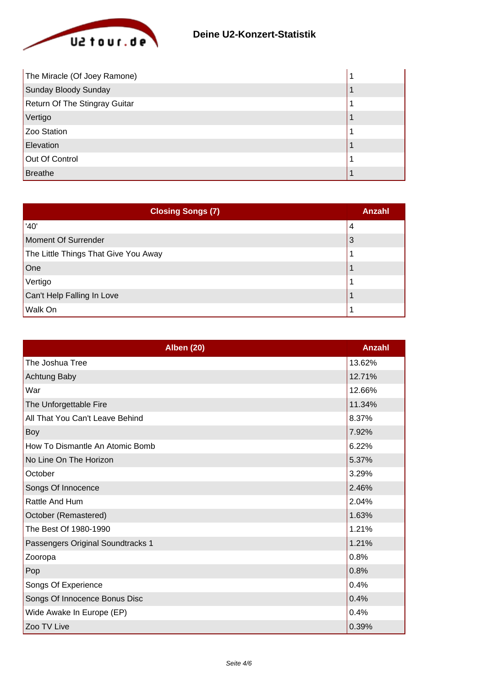

| The Miracle (Of Joey Ramone)  |  |
|-------------------------------|--|
| Sunday Bloody Sunday          |  |
| Return Of The Stingray Guitar |  |
| Vertigo                       |  |
| Zoo Station                   |  |
| Elevation                     |  |
| Out Of Control                |  |
| Breathe                       |  |

| <b>Closing Songs (7)</b>             | Anzahl |
|--------------------------------------|--------|
| '40'                                 | 4      |
| Moment Of Surrender                  | 3      |
| The Little Things That Give You Away |        |
| One                                  |        |
| Vertigo                              |        |
| Can't Help Falling In Love           |        |
| <b>Walk On</b>                       |        |

| <b>Alben (20)</b>                 | Anzahl |
|-----------------------------------|--------|
| The Joshua Tree                   | 13.62% |
| Achtung Baby                      | 12.71% |
| War                               | 12.66% |
| The Unforgettable Fire            | 11.34% |
| All That You Can't Leave Behind   | 8.37%  |
| Boy                               | 7.92%  |
| How To Dismantle An Atomic Bomb   | 6.22%  |
| No Line On The Horizon            | 5.37%  |
| October                           | 3.29%  |
| Songs Of Innocence                | 2.46%  |
| Rattle And Hum                    | 2.04%  |
| October (Remastered)              | 1.63%  |
| The Best Of 1980-1990             | 1.21%  |
| Passengers Original Soundtracks 1 | 1.21%  |
| Zooropa                           | 0.8%   |
| Pop                               | 0.8%   |
| Songs Of Experience               | 0.4%   |
| Songs Of Innocence Bonus Disc     | 0.4%   |
| Wide Awake In Europe (EP)         | 0.4%   |
| Zoo TV Live                       | 0.39%  |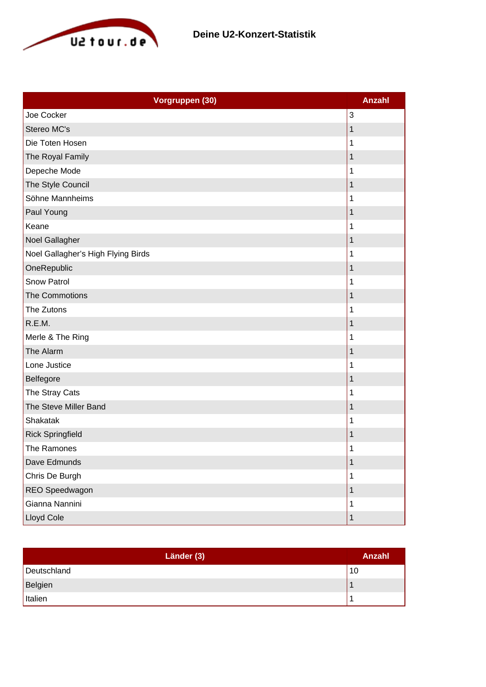

| Vorgruppen (30)                    | <b>Anzahl</b> |
|------------------------------------|---------------|
| Joe Cocker                         | 3             |
| Stereo MC's                        | 1             |
| Die Toten Hosen                    | 1             |
| The Royal Family                   | 1             |
| Depeche Mode                       | 1             |
| The Style Council                  | 1             |
| Söhne Mannheims                    | 1             |
| Paul Young                         | 1             |
| Keane                              | 1             |
| Noel Gallagher                     | 1             |
| Noel Gallagher's High Flying Birds | 1             |
| OneRepublic                        | 1             |
| <b>Snow Patrol</b>                 | 1             |
| The Commotions                     | 1             |
| The Zutons                         | 1             |
| R.E.M.                             | 1             |
| Merle & The Ring                   | 1             |
| The Alarm                          | 1             |
| Lone Justice                       | 1             |
| Belfegore                          | 1             |
| The Stray Cats                     | 1             |
| The Steve Miller Band              | 1             |
| Shakatak                           | 1             |
| <b>Rick Springfield</b>            | 1             |
| The Ramones                        | 1             |
| Dave Edmunds                       | 1             |
| Chris De Burgh                     | 1             |
| REO Speedwagon                     | 1             |
| Gianna Nannini                     | 1             |
| Lloyd Cole                         | 1             |

| Länder (3)  | Anzahl |
|-------------|--------|
| Deutschland | 10     |
| Belgien     |        |
| Italien     |        |